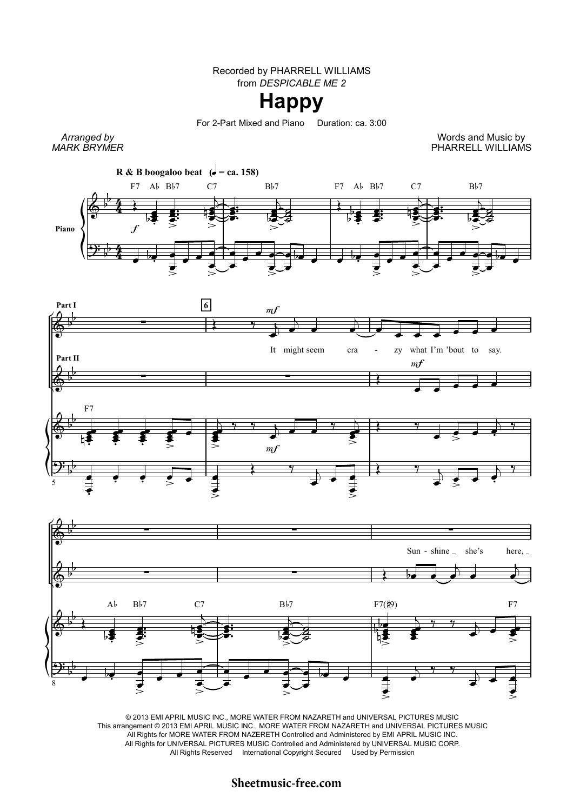## Recorded by PHARRELL WILLIAMS from *DESPICABLE ME 2*

## **Happy**

For 2-Part Mixed and Piano Duration: ca. 3:00

*Arranged by MARK BRYMER*

Words and Music by PHARRELL WILLIAMS







© 2013 EMI APRIL MUSIC INC., MORE WATER FROM NAZARETH and UNIVERSAL PICTURES MUSIC This arrangement © 2013 EMI APRIL MUSIC INC., MORE WATER FROM NAZARETH and UNIVERSAL PICTURES MUSIC All Rights for MORE WATER FROM NAZERETH Controlled and Administered by EMI APRIL MUSIC INC. All Rights for UNIVERSAL PICTURES MUSIC Controlled and Administered by UNIVERSAL MUSIC CORP. All Rights Reserved International Copyright Secured Used by Permission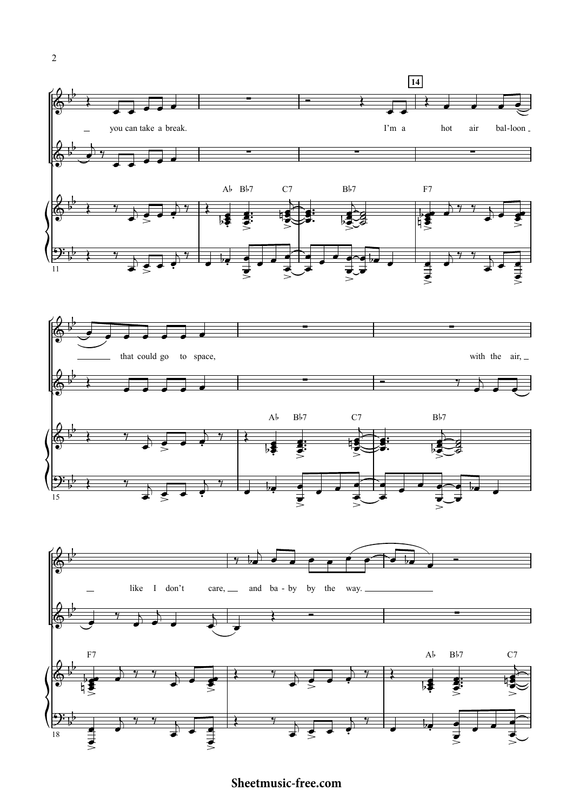



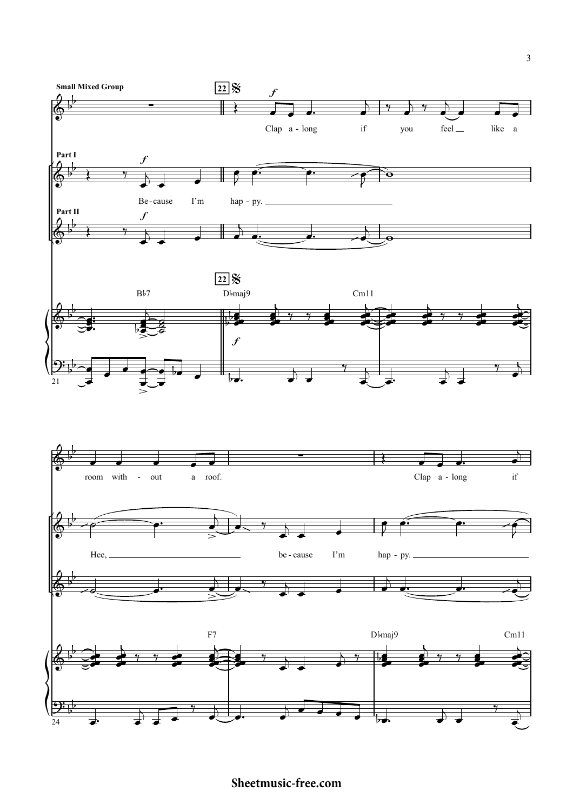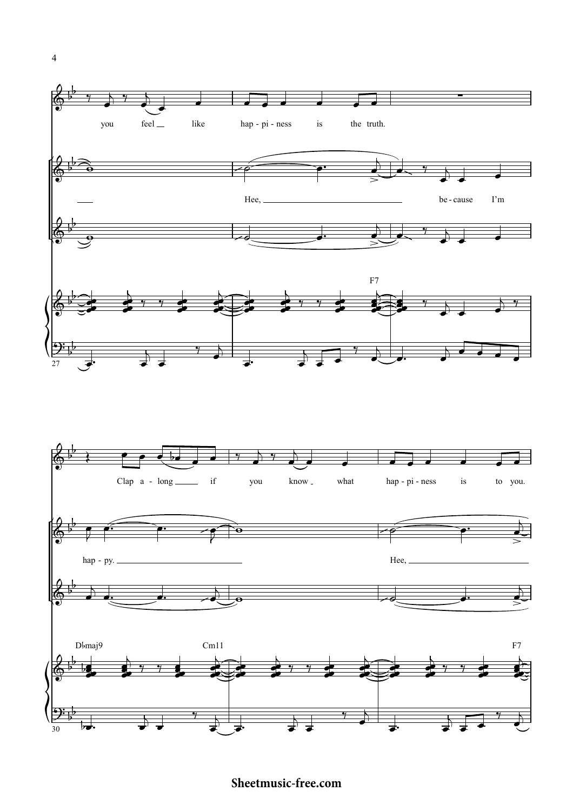

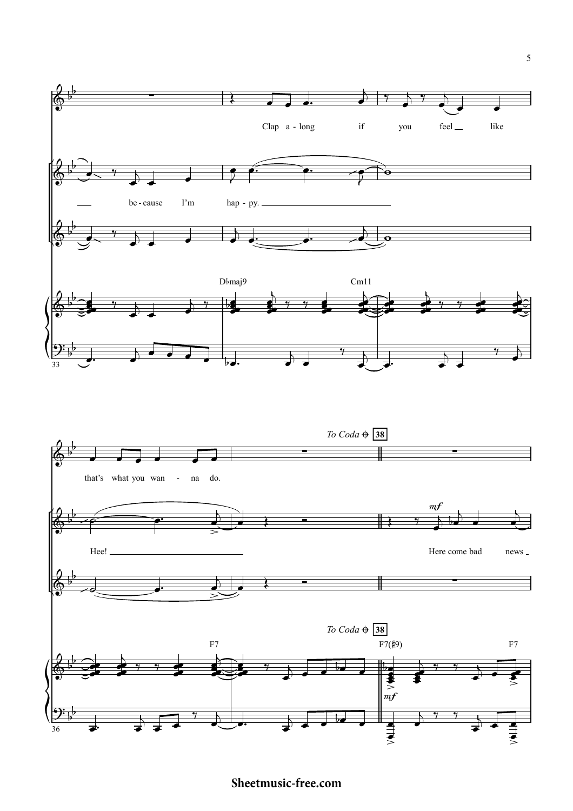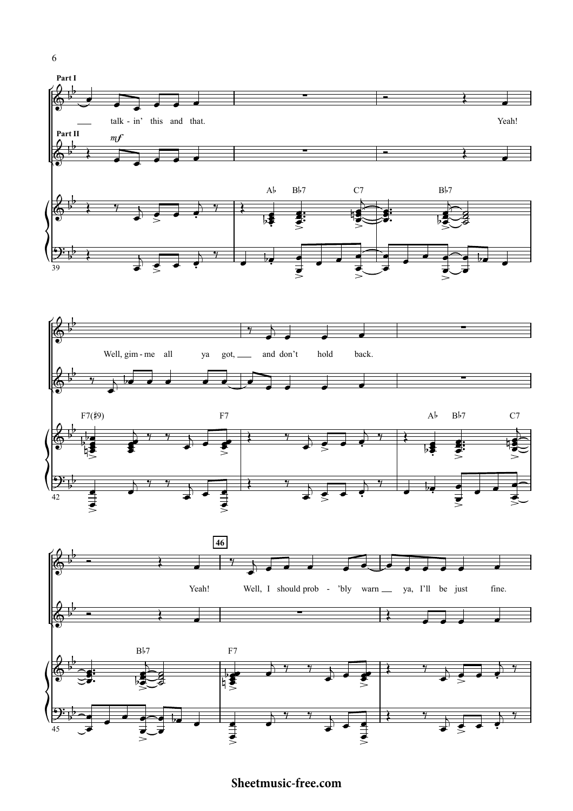

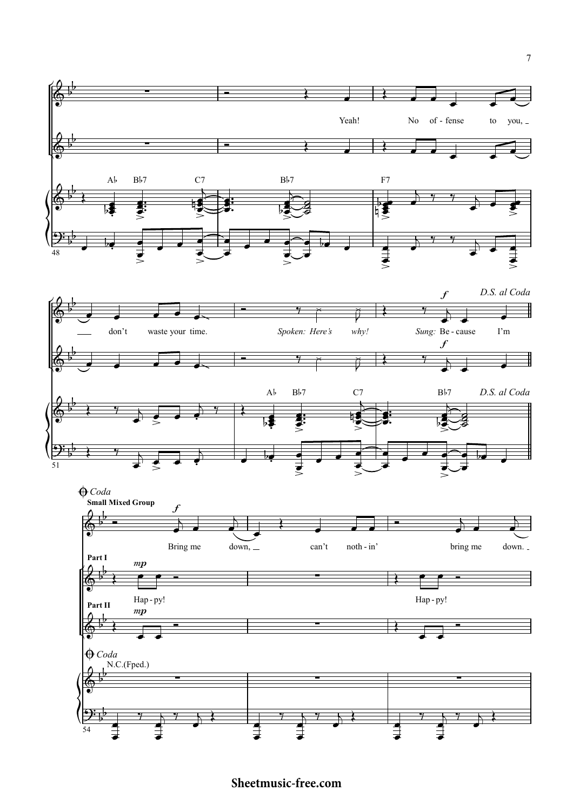





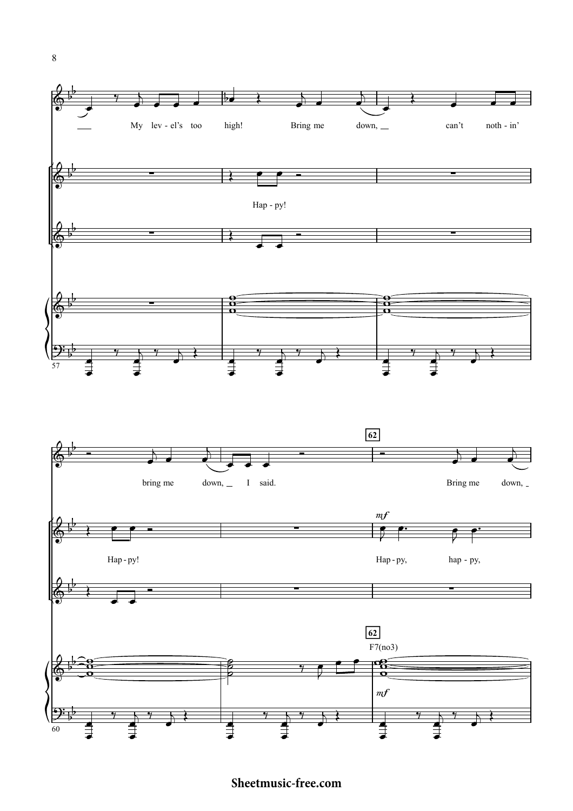

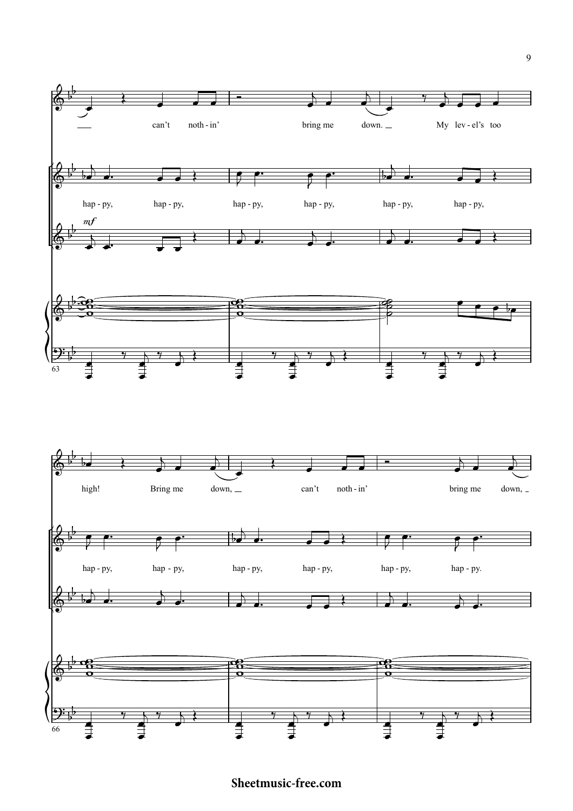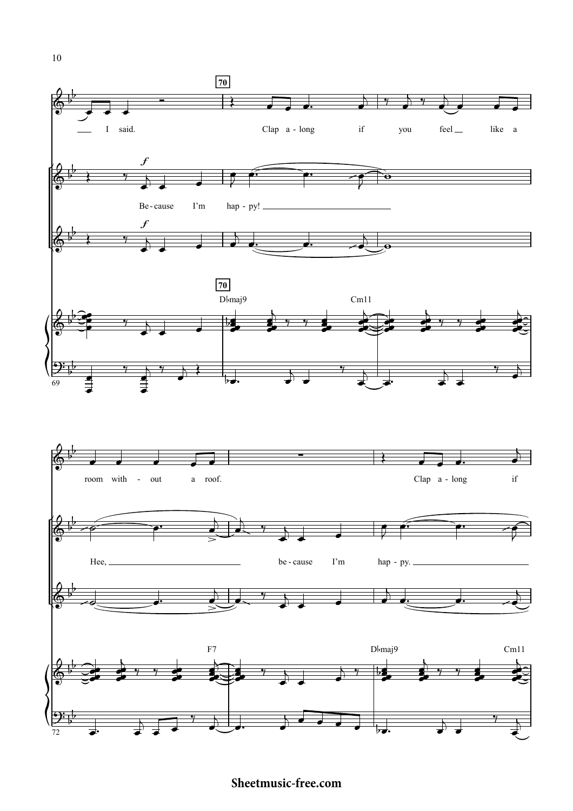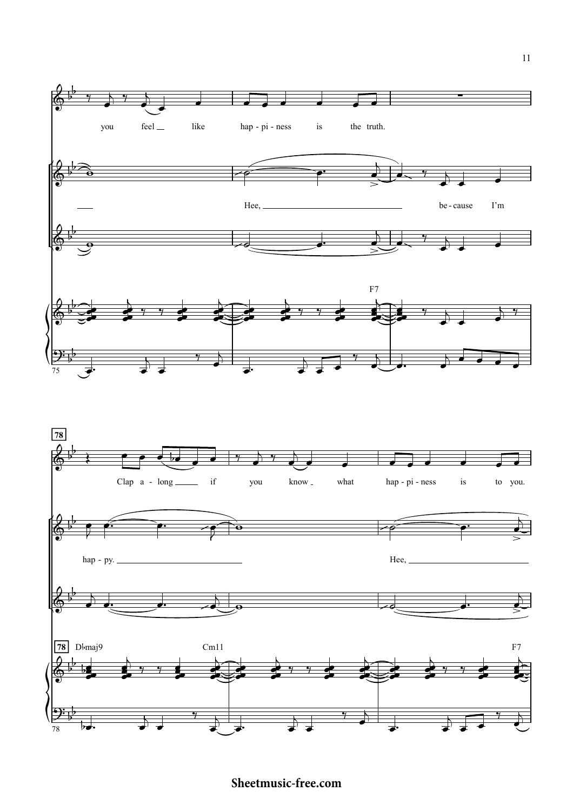

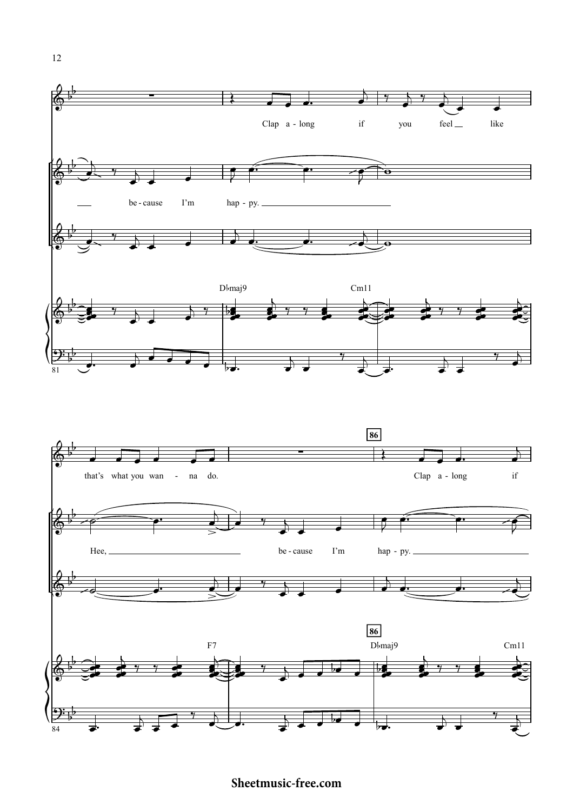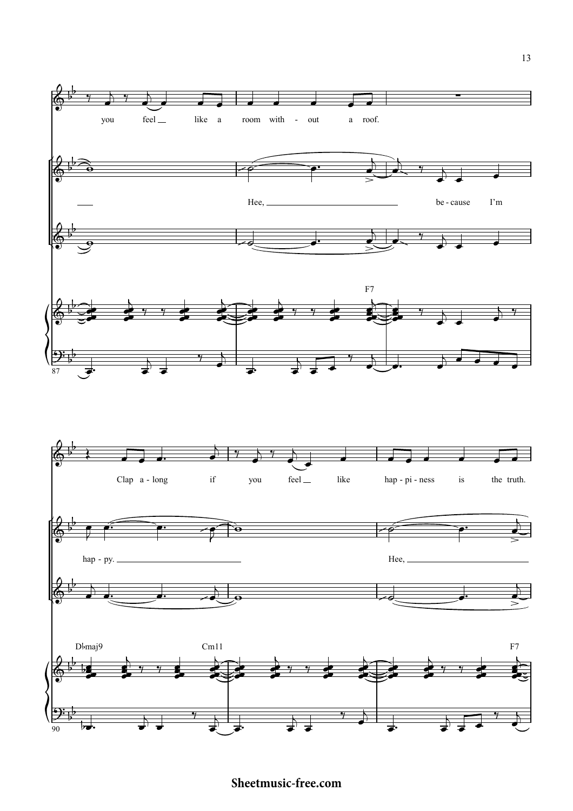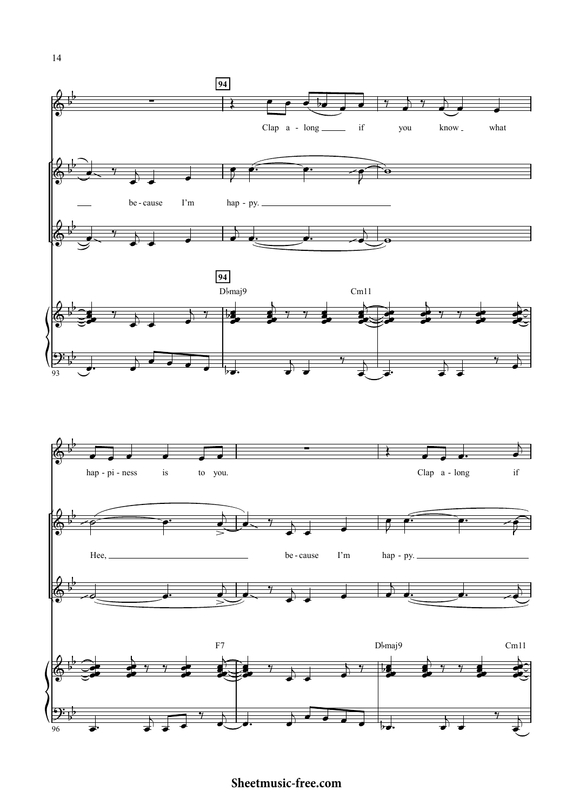![](_page_13_Figure_0.jpeg)